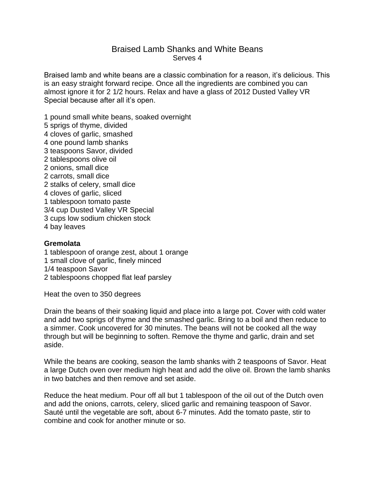## Braised Lamb Shanks and White Beans Serves 4

Braised lamb and white beans are a classic combination for a reason, it's delicious. This is an easy straight forward recipe. Once all the ingredients are combined you can almost ignore it for 2 1/2 hours. Relax and have a glass of 2012 Dusted Valley VR Special because after all it's open.

1 pound small white beans, soaked overnight

5 sprigs of thyme, divided 4 cloves of garlic, smashed 4 one pound lamb shanks 3 teaspoons Savor, divided 2 tablespoons olive oil 2 onions, small dice 2 carrots, small dice 2 stalks of celery, small dice 4 cloves of garlic, sliced 1 tablespoon tomato paste 3/4 cup Dusted Valley VR Special 3 cups low sodium chicken stock 4 bay leaves

## **Gremolata**

1 tablespoon of orange zest, about 1 orange 1 small clove of garlic, finely minced 1/4 teaspoon Savor 2 tablespoons chopped flat leaf parsley

Heat the oven to 350 degrees

Drain the beans of their soaking liquid and place into a large pot. Cover with cold water and add two sprigs of thyme and the smashed garlic. Bring to a boil and then reduce to a simmer. Cook uncovered for 30 minutes. The beans will not be cooked all the way through but will be beginning to soften. Remove the thyme and garlic, drain and set aside.

While the beans are cooking, season the lamb shanks with 2 teaspoons of Savor. Heat a large Dutch oven over medium high heat and add the olive oil. Brown the lamb shanks in two batches and then remove and set aside.

Reduce the heat medium. Pour off all but 1 tablespoon of the oil out of the Dutch oven and add the onions, carrots, celery, sliced garlic and remaining teaspoon of Savor. Sauté until the vegetable are soft, about 6-7 minutes. Add the tomato paste, stir to combine and cook for another minute or so.